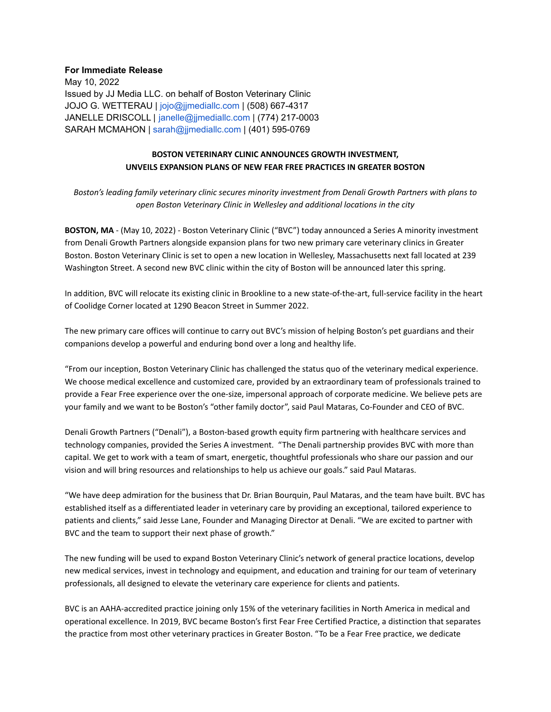## **For Immediate Release**

May 10, 2022 Issued by JJ Media LLC. on behalf of Boston Veterinary Clinic JOJO G. WETTERAU | jojo@jjmediallc.com | (508) 667-4317 JANELLE DRISCOLL | janelle@jjmediallc.com | (774) 217-0003 SARAH MCMAHON | sarah@jjmediallc.com | (401) 595-0769

## **BOSTON VETERINARY CLINIC ANNOUNCES GROWTH INVESTMENT, UNVEILS EXPANSION PLANS OF NEW FEAR FREE PRACTICES IN GREATER BOSTON**

*Boston's leading family veterinary clinic secures minority investment from Denali Growth Partners with plans to open Boston Veterinary Clinic in Wellesley and additional locations in the city*

**BOSTON, MA** - (May 10, 2022) - Boston Veterinary Clinic ("BVC") today announced a Series A minority investment from Denali Growth Partners alongside expansion plans for two new primary care veterinary clinics in Greater Boston. Boston Veterinary Clinic is set to open a new location in Wellesley, Massachusetts next fall located at 239 Washington Street. A second new BVC clinic within the city of Boston will be announced later this spring.

In addition, BVC will relocate its existing clinic in Brookline to a new state-of-the-art, full-service facility in the heart of Coolidge Corner located at 1290 Beacon Street in Summer 2022.

The new primary care offices will continue to carry out BVC's mission of helping Boston's pet guardians and their companions develop a powerful and enduring bond over a long and healthy life.

"From our inception, Boston Veterinary Clinic has challenged the status quo of the veterinary medical experience. We choose medical excellence and customized care, provided by an extraordinary team of professionals trained to provide a Fear Free experience over the one-size, impersonal approach of corporate medicine. We believe pets are your family and we want to be Boston's "other family doctor", said Paul Mataras, Co-Founder and CEO of BVC.

Denali Growth Partners ("Denali"), a Boston-based growth equity firm partnering with healthcare services and technology companies, provided the Series A investment. "The Denali partnership provides BVC with more than capital. We get to work with a team of smart, energetic, thoughtful professionals who share our passion and our vision and will bring resources and relationships to help us achieve our goals." said Paul Mataras.

"We have deep admiration for the business that Dr. Brian Bourquin, Paul Mataras, and the team have built. BVC has established itself as a differentiated leader in veterinary care by providing an exceptional, tailored experience to patients and clients," said Jesse Lane, Founder and Managing Director at Denali. "We are excited to partner with BVC and the team to support their next phase of growth."

The new funding will be used to expand Boston Veterinary Clinic's network of general practice locations, develop new medical services, invest in technology and equipment, and education and training for our team of veterinary professionals, all designed to elevate the veterinary care experience for clients and patients.

BVC is an AAHA-accredited practice joining only 15% of the veterinary facilities in North America in medical and operational excellence. In 2019, BVC became Boston's first Fear Free Certified Practice, a distinction that separates the practice from most other veterinary practices in Greater Boston. "To be a Fear Free practice, we dedicate